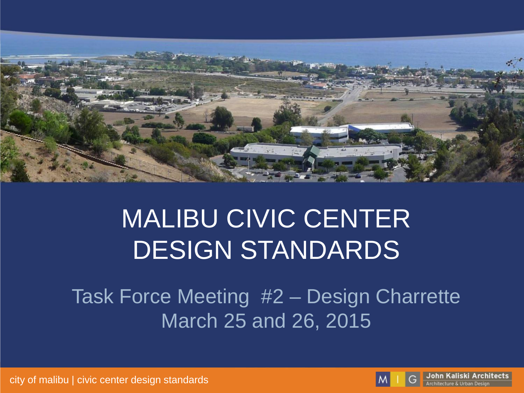

# MALIBU CIVIC CENTER DESIGN STANDARDS

Task Force Meeting #2 – Design Charrette March 25 and 26, 2015



John Kaliski Architects **Architecture & Urban Desig**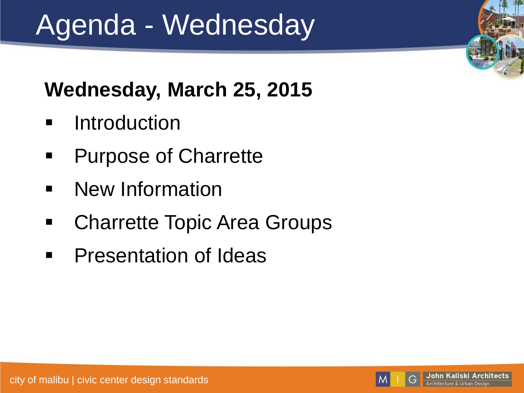# Agenda - Wednesday

#### **Wednesday, March 25, 2015**

- **E** Introduction
- **Purpose of Charrette**
- **New Information**
- **EXAGGETY** Charrette Topic Area Groups
- **•** Presentation of Ideas

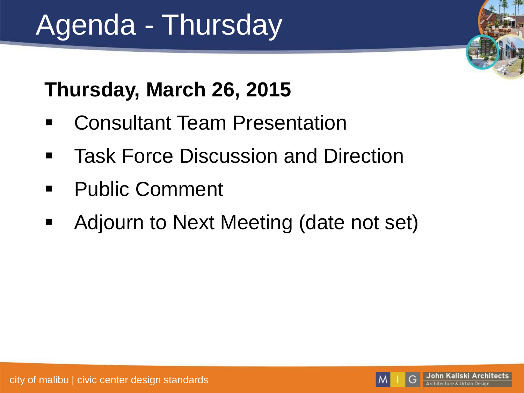# Agenda - Thursday

### **Thursday, March 26, 2015**

- Consultant Team Presentation
- **Task Force Discussion and Direction**
- **Public Comment**
- **Adjourn to Next Meeting (date not set)**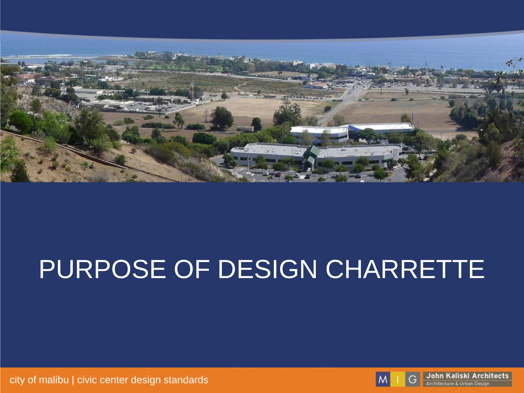

# PURPOSE OF DESIGN CHARRETTE

city of malibu | civic center design standards



John Kaliski Architects G Architecture & Urban Design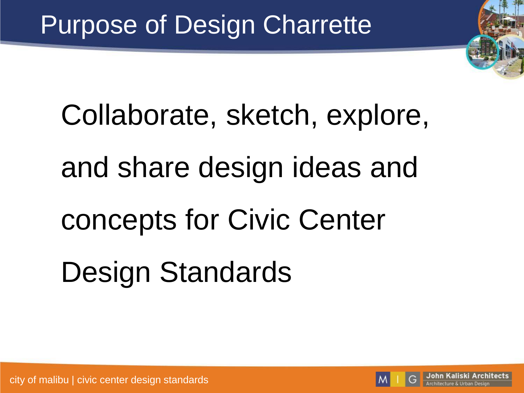# Collaborate, sketch, explore, and share design ideas and concepts for Civic Center Design Standards

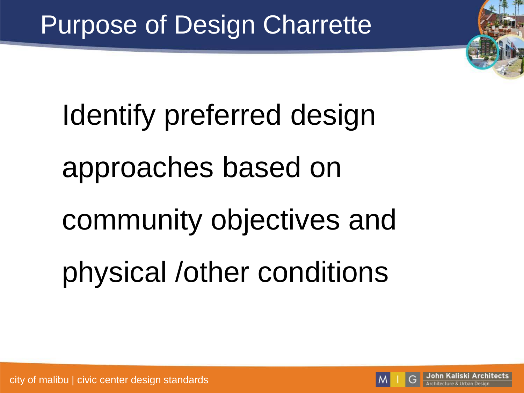

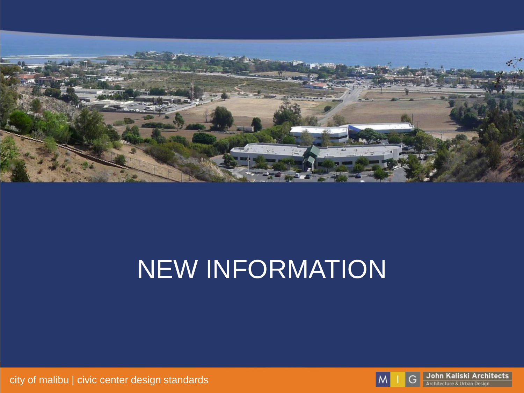

# NEW INFORMATION

city of malibu | civic center design standards



John Kaliski Architects G Architecture & Urban Design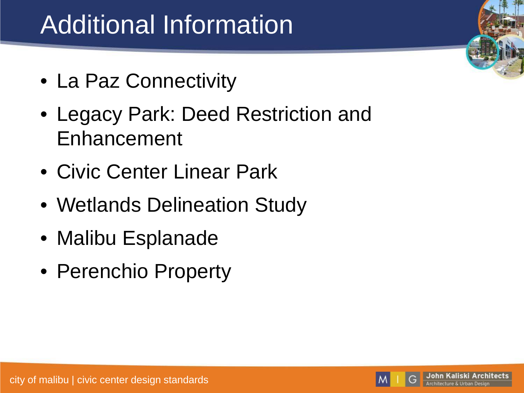# Additional Information

- La Paz Connectivity
- Legacy Park: Deed Restriction and Enhancement
- Civic Center Linear Park
- Wetlands Delineation Study
- Malibu Esplanade
- Perenchio Property

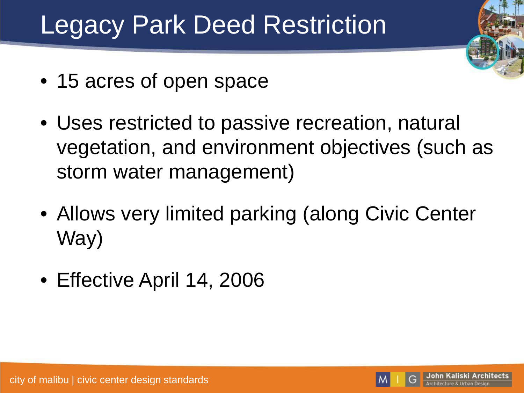# Legacy Park Deed Restriction

- 15 acres of open space
- Uses restricted to passive recreation, natural vegetation, and environment objectives (such as storm water management)
- Allows very limited parking (along Civic Center Way)
- Effective April 14, 2006

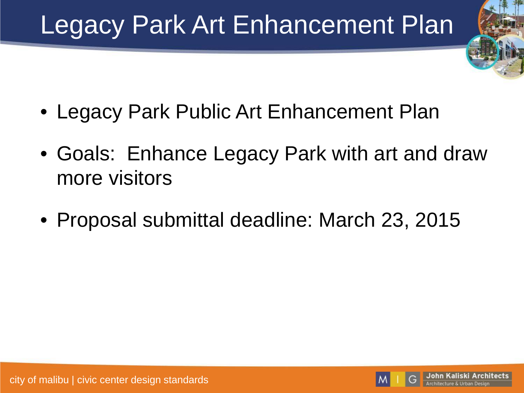# Legacy Park Art Enhancement Plan

- Legacy Park Public Art Enhancement Plan
- Goals: Enhance Legacy Park with art and draw more visitors
- Proposal submittal deadline: March 23, 2015

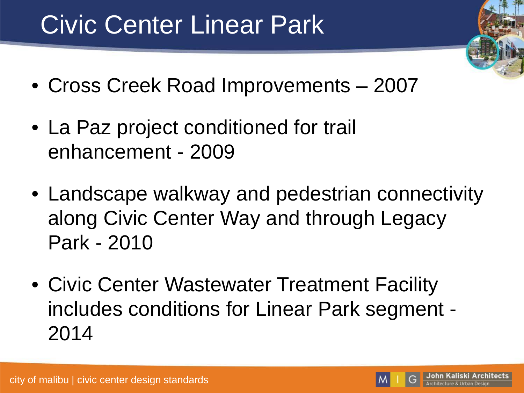# Civic Center Linear Park

- Cross Creek Road Improvements 2007
- La Paz project conditioned for trail enhancement - 2009
- Landscape walkway and pedestrian connectivity along Civic Center Way and through Legacy Park - 2010
- Civic Center Wastewater Treatment Facility includes conditions for Linear Park segment - 2014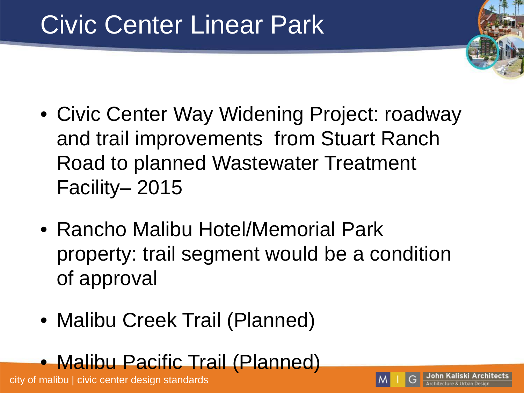# Civic Center Linear Park

- Civic Center Way Widening Project: roadway and trail improvements from Stuart Ranch Road to planned Wastewater Treatment Facility– 2015
- Rancho Malibu Hotel/Memorial Park property: trail segment would be a condition of approval
- Malibu Creek Trail (Planned)

#### • Malibu Pacific Trail (Planned)

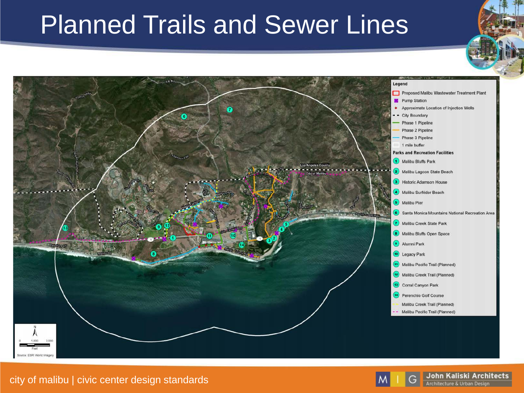## Planned Trails and Sewer Lines



#### city of malibu | civic center design standards



John Kaliski Architects Architecture & Urban Design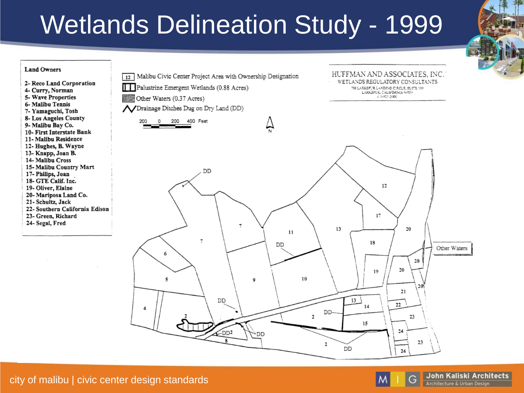# Wetlands Delineation Study - 1999





G

John Kaliski Architects Architecture & Urban Design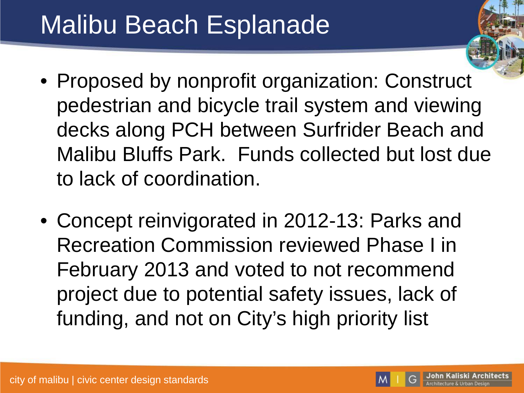# Malibu Beach Esplanade

- Proposed by nonprofit organization: Construct pedestrian and bicycle trail system and viewing decks along PCH between Surfrider Beach and Malibu Bluffs Park. Funds collected but lost due to lack of coordination.
- Concept reinvigorated in 2012-13: Parks and Recreation Commission reviewed Phase I in February 2013 and voted to not recommend project due to potential safety issues, lack of funding, and not on City's high priority list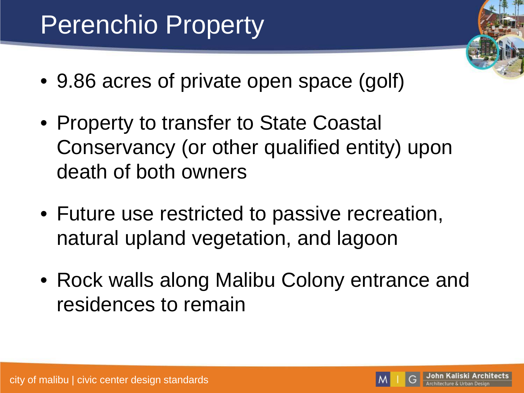# Perenchio Property

- 9.86 acres of private open space (golf)
- Property to transfer to State Coastal Conservancy (or other qualified entity) upon death of both owners
- Future use restricted to passive recreation, natural upland vegetation, and lagoon
- Rock walls along Malibu Colony entrance and residences to remain

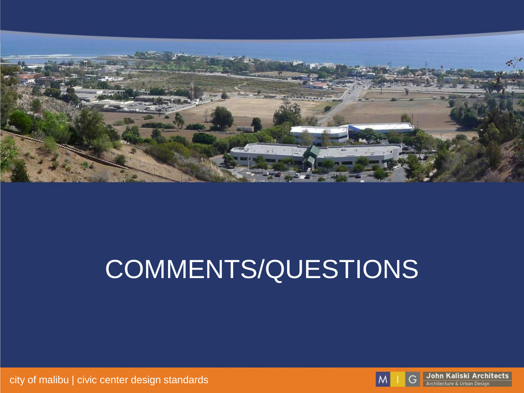

# COMMENTS/QUESTIONS

 $\mathsf{M}$ 

G

John Kaliski Architects

Architecture & Urban Design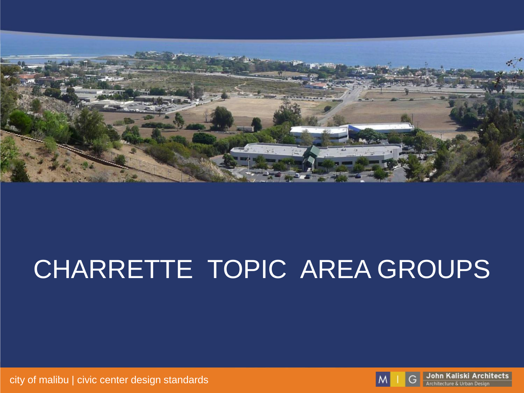

# CHARRETTE TOPIC AREA GROUPS

city of malibu | civic center design standards



John Kaliski Architects G Architecture & Urban Design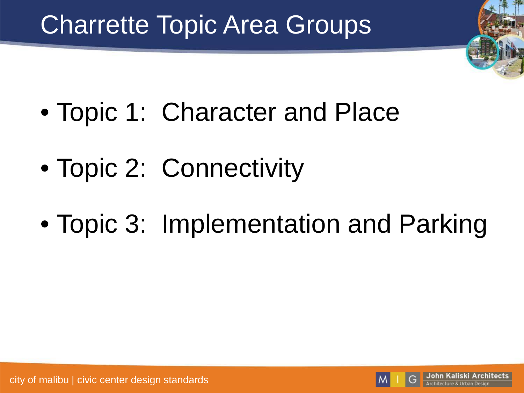# Charrette Topic Area Groups

- Topic 1: Character and Place
- Topic 2: Connectivity
- Topic 3: Implementation and Parking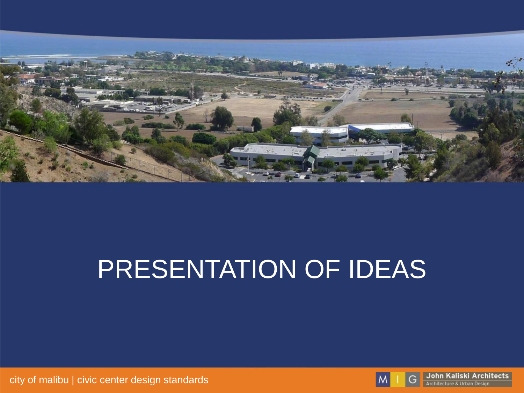

# PRESENTATION OF IDEAS

city of malibu | civic center design standards



G

John Kaliski Architects Architecture & Urban Design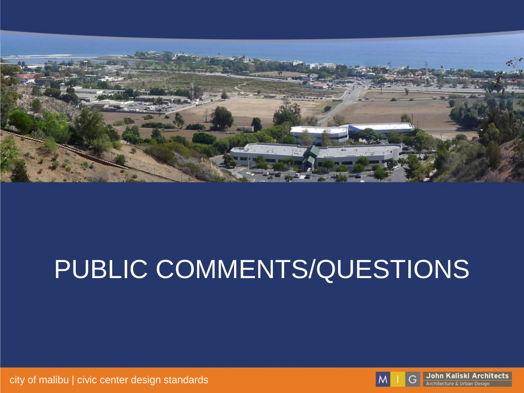

# PUBLIC COMMENTS/QUESTIONS



John Kaliski Architects

Architecture & Urban Design